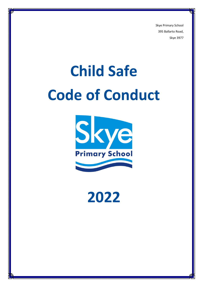Skye Primary School 395 Ballarto Road, Skye 3977

# **Child Safe Code of Conduct**



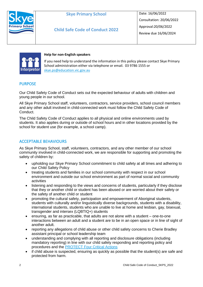

## **Skye Primary School**

**Child Safe Code of Conduct 2022**

Date: 16/06/2022 Consultation: 20/06/2022 Approval:20/06/2022 Review due 16/06/2024



#### **Help for non-English speakers**

If you need help to understand the information in this policy please contact Skye Primary School administration either via telephone or email. 03 9786 1555 or [skye.ps@education.vic.gov.au](mailto:skye.ps@education.vic.gov.au)

### PURPOSE

Our Child Safety Code of Conduct sets out the expected behaviour of adults with children and young people in our school.

All Skye Primary School staff, volunteers, contractors, service providers, school council members and any other adult involved in child-connected work must follow the Child Safety Code of Conduct.

The Child Safety Code of Conduct applies to all physical and online environments used by students. It also applies during or outside of school hours and in other locations provided by the school for student use (for example, a school camp).

#### ACCEPTABLE BEHAVIOURS

As Skye Primary School, staff, volunteers, contractors, and any other member of our school community involved in child-connected work, we are responsible for supporting and promoting the safety of children by:

- upholding our Skye Primary School commitment to child safety at all times and adhering to our Child Safety Policy
- treating students and families in our school community with respect in our school environment and outside our school environment as part of normal social and community activities
- listening and responding to the views and concerns of students, particularly if they disclose that they or another child or student has been abused or are worried about their safety or the safety of another child or student
- promoting the cultural safety, participation and empowerment of Aboriginal students, students with culturally and/or linguistically diverse backgrounds, students with a disability, international students, students who are unable to live at home and lesbian, gay, bisexual, transgender and intersex (LQBTIQ+) students
- ensuring, as far as practicable, that adults are not alone with a student one-to-one interactions between an adult and a student are to be in an open space or in line of sight of another adult.
- reporting any allegations of child abuse or other child safety concerns to Cherie Bradley assistant principal or school leadership team
- understanding and complying with all reporting and disclosure obligations (including mandatory reporting) in line with our child safety responding and reporting policy and procedures and the [PROTECT Four Critical Actions](https://www.education.vic.gov.au/Documents/about/programs/health/protect/FourCriticalActions_ChildAbuse.pdf)
- if child abuse is suspected, ensuring as quickly as possible that the student(s) are safe and protected from harm.